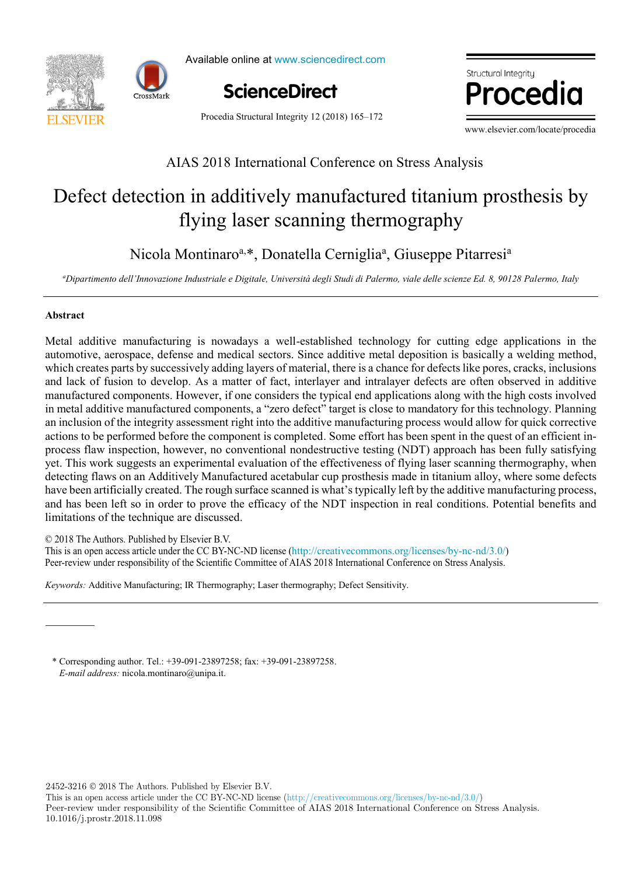



Available online at www.sciencedirect.com



P. Brandão<sup>a</sup>

Procedia Structural Integrity 12 (2018) 165–172

Structural Intearitu where  $\mathbb{R}^n$ احت

www.elsevier.com/locate/procedia

## AIAS 2018 International Conference on Stress Analysis AIAS 2018 International Conference on Stress Analysis

# $\mathcal{L}$  Possibility in France of Arcos, Portugal Prosensisty  $\epsilon$ ,  $\mathcal{L}$  flying laser scanning thermography Defect detection in additively manufactured titanium prosthesis by Defect detection in additively manufactured titanium prosthesis by

Nicola Montinaro<sup>a,\*</sup>, Donatella Cerniglia<sup>a</sup>, Giuseppe Pitarresi<sup>a</sup>

e di antificatione.<br>Dipartimento dell'Innovazione Industriale e Digitale, Università degli Studi di Palermo, viale delle scienze Ed. 8, 90128 Palermo, Italy

, V. Infantebook

, A.M. Deuscher († 1872)<br>1905 - Johann Stein, Amerikaansk politikus († 1872)<br>1905 - Johann Stein, Amerikaansk politikus († 1873)

### **Abstract Abstract**

Metal additive manufacturing is nowadays a well-established technology for cutting edge applications in the automotive, aerospace, defense and medical sectors. Since additive metal deposition is basically a welding method, which creates parts by successively adding layers of material, there is a chance for defects like pores, cracks, inclusions which creates parts by successively adding layers of material, there is a chance for defects like and lack of fusion to develop. As a matter of fact, interlayer and intralayer defects are often observed in additive an inclusion of the integrity assessment right into the additive manufacturing process would allow for quick corrective  $\overline{\text{E}}$  operation, modern and component is component to increase the subject of  $\overline{\text{E}}$ . process flaw inspection, however, no conventional nondestructive testing (NDT) approach has been fully satisfying yet. This work suggests an experimental evaluation of the effectiveness of flying laser scanning thermography, when detecting flaws on an Additively Manufactured acetabular cup prosthesis made in titanium alloy, where some defects have been artificially created. The rough surface scanned is what's typically left by the additive manufacturing process, and has been left so in order to prove the efficacy of the NDT inspection in real conditions. Potential benefits and limitations of the technique are discussed. manufactured components. However, if one considers the typical end applications along with the high costs involved in metal additive manufactured components, a "zero defect" target is close to mandatory for this technology. Planning actions to be performed before the component is completed. Some effort has been spent in the quest of an efficient inwietal additive manufacturing is nowadays a well-established technology for cutting edge applications in the

© 2018 The Authors. Published by Elsevier B.V.<br>The Same of the CONVNONE Control of the Control of the Control of the Control of the Control of the Control of This is an open access article under the CC BY-NC-ND license (http://creativecommons.org/licenses/by-nc-nd/3.0/) This is an open access article under the CC BY-NC-ND inceller (http://creativecommons.org/licenses/by-nc-nd/3.0/) Peer-review under responsibility of the Scientific Committee of AIAS 2018 International Conference on Stress Analysis.

© 2016 The Authors. Published by Elsevier B.V. *Keywords:* Additive Manufacturing; IR Thermography; Laser thermography; Defect Sensitivity.

E-mail address: nicola.montinaro@unipa.it. *E-mail address:* nicola.montinaro@unipa.it. \* Corresponding author. Tel.: +39-091-23897258; fax: +39-091-23897258.

 $2452-3216 \odot 2018$  The Authors. Published by Elsevier B.V.

This is an open access article under the CC BY-NC-ND license (http://creativecommons.org/licenses/by-nc-nd/3.0/) Peer-review under responsibility of the Scientific Committee of AIAS 2018 International Conference on Stress Analysis. 10.1016/j.prostr.2018.11.098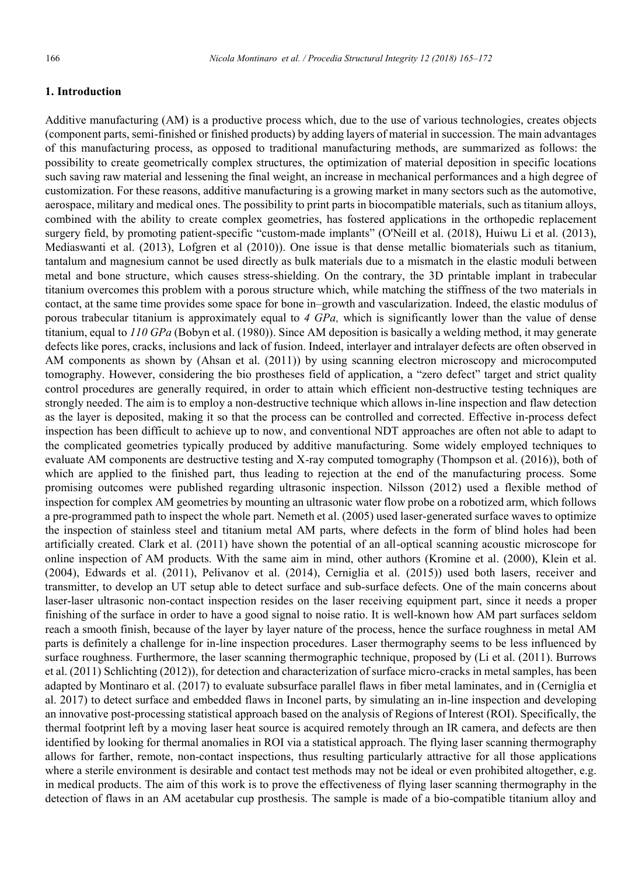#### **1. Introduction**

Additive manufacturing (AM) is a productive process which, due to the use of various technologies, creates objects (component parts, semi-finished or finished products) by adding layers of material in succession. The main advantages of this manufacturing process, as opposed to traditional manufacturing methods, are summarized as follows: the possibility to create geometrically complex structures, the optimization of material deposition in specific locations such saving raw material and lessening the final weight, an increase in mechanical performances and a high degree of customization. For these reasons, additive manufacturing is a growing market in many sectors such as the automotive, aerospace, military and medical ones. The possibility to print parts in biocompatible materials, such as titanium alloys, combined with the ability to create complex geometries, has fostered applications in the orthopedic replacement surgery field, by promoting patient-specific "custom-made implants" (O'Neill et al. (2018), Huiwu Li et al. (2013), Mediaswanti et al. (2013), Lofgren et al (2010)). One issue is that dense metallic biomaterials such as titanium, tantalum and magnesium cannot be used directly as bulk materials due to a mismatch in the elastic moduli between metal and bone structure, which causes stress-shielding. On the contrary, the 3D printable implant in trabecular titanium overcomes this problem with a porous structure which, while matching the stiffness of the two materials in contact, at the same time provides some space for bone in–growth and vascularization. Indeed, the elastic modulus of porous trabecular titanium is approximately equal to *4 GPa,* which is significantly lower than the value of dense titanium, equal to *110 GPa* (Bobyn et al. (1980)). Since AM deposition is basically a welding method, it may generate defects like pores, cracks, inclusions and lack of fusion. Indeed, interlayer and intralayer defects are often observed in AM components as shown by (Ahsan et al. (2011)) by using scanning electron microscopy and microcomputed tomography. However, considering the bio prostheses field of application, a "zero defect" target and strict quality control procedures are generally required, in order to attain which efficient non-destructive testing techniques are strongly needed. The aim is to employ a non-destructive technique which allows in-line inspection and flaw detection as the layer is deposited, making it so that the process can be controlled and corrected. Effective in-process defect inspection has been difficult to achieve up to now, and conventional NDT approaches are often not able to adapt to the complicated geometries typically produced by additive manufacturing. Some widely employed techniques to evaluate AM components are destructive testing and X-ray computed tomography (Thompson et al. (2016)), both of which are applied to the finished part, thus leading to rejection at the end of the manufacturing process. Some promising outcomes were published regarding ultrasonic inspection. Nilsson (2012) used a flexible method of inspection for complex AM geometries by mounting an ultrasonic water flow probe on a robotized arm, which follows a pre-programmed path to inspect the whole part. Nemeth et al. (2005) used laser-generated surface waves to optimize the inspection of stainless steel and titanium metal AM parts, where defects in the form of blind holes had been artificially created. Clark et al. (2011) have shown the potential of an all-optical scanning acoustic microscope for online inspection of AM products. With the same aim in mind, other authors (Kromine et al. (2000), Klein et al. (2004), Edwards et al. (2011), Pelivanov et al. (2014), Cerniglia et al. (2015)) used both lasers, receiver and transmitter, to develop an UT setup able to detect surface and sub-surface defects. One of the main concerns about laser-laser ultrasonic non-contact inspection resides on the laser receiving equipment part, since it needs a proper finishing of the surface in order to have a good signal to noise ratio. It is well-known how AM part surfaces seldom reach a smooth finish, because of the layer by layer nature of the process, hence the surface roughness in metal AM parts is definitely a challenge for in-line inspection procedures. Laser thermography seems to be less influenced by surface roughness. Furthermore, the laser scanning thermographic technique, proposed by (Li et al. (2011). Burrows et al. (2011) Schlichting (2012)), for detection and characterization of surface micro-cracks in metal samples, has been adapted by Montinaro et al. (2017) to evaluate subsurface parallel flaws in fiber metal laminates, and in (Cerniglia et al. 2017) to detect surface and embedded flaws in Inconel parts, by simulating an in-line inspection and developing an innovative post-processing statistical approach based on the analysis of Regions of Interest (ROI). Specifically, the thermal footprint left by a moving laser heat source is acquired remotely through an IR camera, and defects are then identified by looking for thermal anomalies in ROI via a statistical approach. The flying laser scanning thermography allows for farther, remote, non-contact inspections, thus resulting particularly attractive for all those applications where a sterile environment is desirable and contact test methods may not be ideal or even prohibited altogether, e.g. in medical products. The aim of this work is to prove the effectiveness of flying laser scanning thermography in the detection of flaws in an AM acetabular cup prosthesis. The sample is made of a bio-compatible titanium alloy and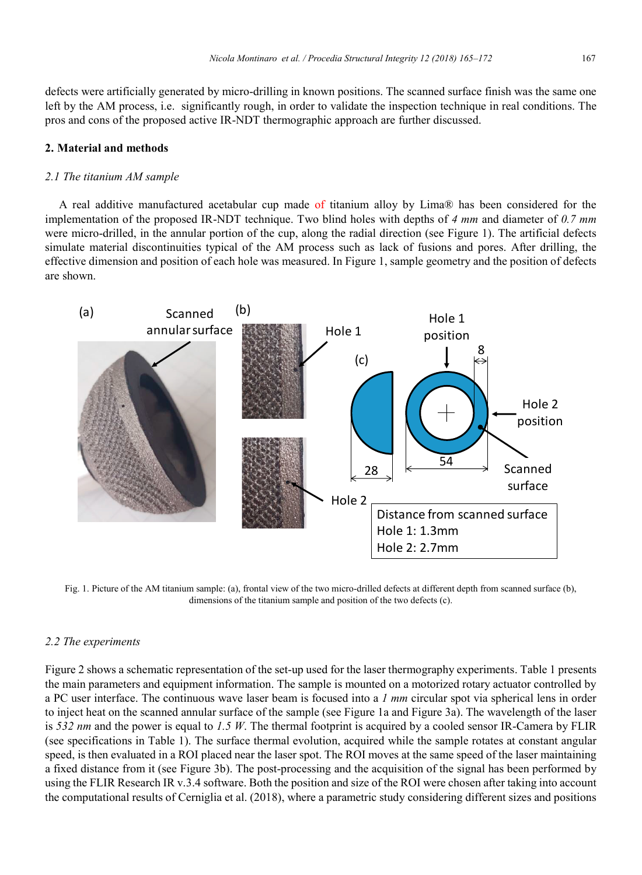defects were artificially generated by micro-drilling in known positions. The scanned surface finish was the same one left by the AM process, i.e. significantly rough, in order to validate the inspection technique in real conditions. The pros and cons of the proposed active IR-NDT thermographic approach are further discussed.

#### **2. Material and methods**

#### *2.1 The titanium AM sample*

A real additive manufactured acetabular cup made of titanium alloy by Lima® has been considered for the implementation of the proposed IR-NDT technique. Two blind holes with depths of *4 mm* and diameter of *0.7 mm* were micro-drilled, in the annular portion of the cup, along the radial direction (see Figure 1). The artificial defects simulate material discontinuities typical of the AM process such as lack of fusions and pores. After drilling, the effective dimension and position of each hole was measured. In Figure 1, sample geometry and the position of defects are shown.



Fig. 1. Picture of the AM titanium sample: (a), frontal view of the two micro-drilled defects at different depth from scanned surface (b), dimensions of the titanium sample and position of the two defects (c).

#### *2.2 The experiments*

Figure 2 shows a schematic representation of the set-up used for the laser thermography experiments. Table 1 presents the main parameters and equipment information. The sample is mounted on a motorized rotary actuator controlled by a PC user interface. The continuous wave laser beam is focused into a *1 mm* circular spot via spherical lens in order to inject heat on the scanned annular surface of the sample (see Figure 1a and Figure 3a). The wavelength of the laser is *532 nm* and the power is equal to *1.5 W*. The thermal footprint is acquired by a cooled sensor IR-Camera by FLIR (see specifications in Table 1). The surface thermal evolution, acquired while the sample rotates at constant angular speed, is then evaluated in a ROI placed near the laser spot. The ROI moves at the same speed of the laser maintaining a fixed distance from it (see Figure 3b). The post-processing and the acquisition of the signal has been performed by using the FLIR Research IR v.3.4 software. Both the position and size of the ROI were chosen after taking into account the computational results of Cerniglia et al. (2018), where a parametric study considering different sizes and positions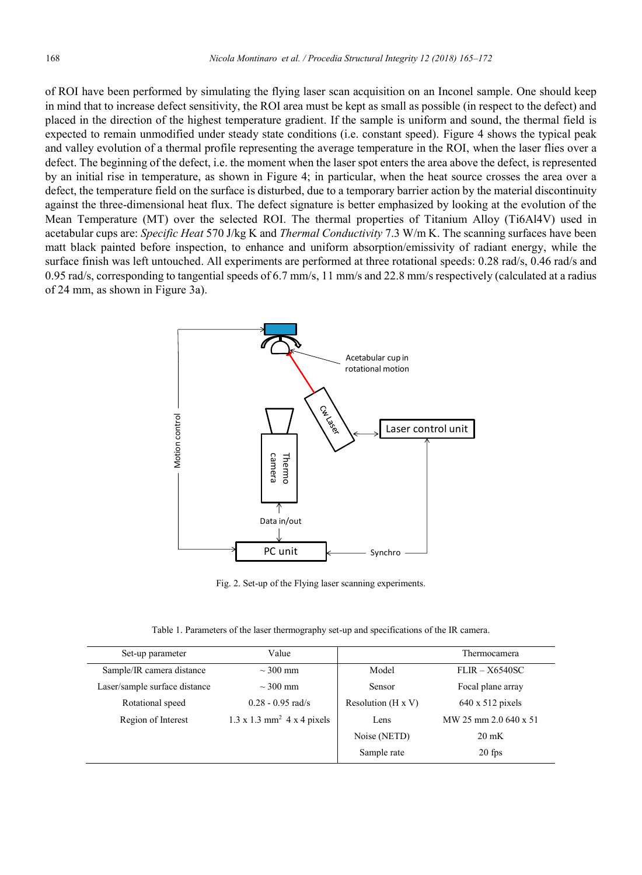of ROI have been performed by simulating the flying laser scan acquisition on an Inconel sample. One should keep in mind that to increase defect sensitivity, the ROI area must be kept as small as possible (in respect to the defect) and placed in the direction of the highest temperature gradient. If the sample is uniform and sound, the thermal field is expected to remain unmodified under steady state conditions (i.e. constant speed). Figure 4 shows the typical peak and valley evolution of a thermal profile representing the average temperature in the ROI, when the laser flies over a defect. The beginning of the defect, i.e. the moment when the laser spot enters the area above the defect, is represented by an initial rise in temperature, as shown in Figure 4; in particular, when the heat source crosses the area over a defect, the temperature field on the surface is disturbed, due to a temporary barrier action by the material discontinuity against the three-dimensional heat flux. The defect signature is better emphasized by looking at the evolution of the Mean Temperature (MT) over the selected ROI. The thermal properties of Titanium Alloy (Ti6Al4V) used in acetabular cups are: *Specific Heat* 570 J/kg K and *Thermal Conductivity* 7.3 W/m K. The scanning surfaces have been matt black painted before inspection, to enhance and uniform absorption/emissivity of radiant energy, while the surface finish was left untouched. All experiments are performed at three rotational speeds: 0.28 rad/s, 0.46 rad/s and 0.95 rad/s, corresponding to tangential speeds of 6.7 mm/s, 11 mm/s and 22.8 mm/s respectively (calculated at a radius of 24 mm, as shown in Figure 3a).



Fig. 2. Set-up of the Flying laser scanning experiments.

Table 1. Parameters of the laser thermography set-up and specifications of the IR camera.

| Set-up parameter              | Value                                         |                           | Thermocamera            |
|-------------------------------|-----------------------------------------------|---------------------------|-------------------------|
| Sample/IR camera distance     | $\sim$ 300 mm                                 | Model                     | $FLIR - X6540SC$        |
| Laser/sample surface distance | $\sim$ 300 mm                                 | <b>Sensor</b>             | Focal plane array       |
| Rotational speed              | $0.28 - 0.95$ rad/s                           | Resolution $(H \times V)$ | $640 \times 512$ pixels |
| Region of Interest            | $1.3 \times 1.3$ mm <sup>2</sup> 4 x 4 pixels | Lens                      | MW 25 mm 2.0 640 x 51   |
|                               |                                               | Noise (NETD)              | $20 \text{ mK}$         |
|                               |                                               | Sample rate               | $20$ fps                |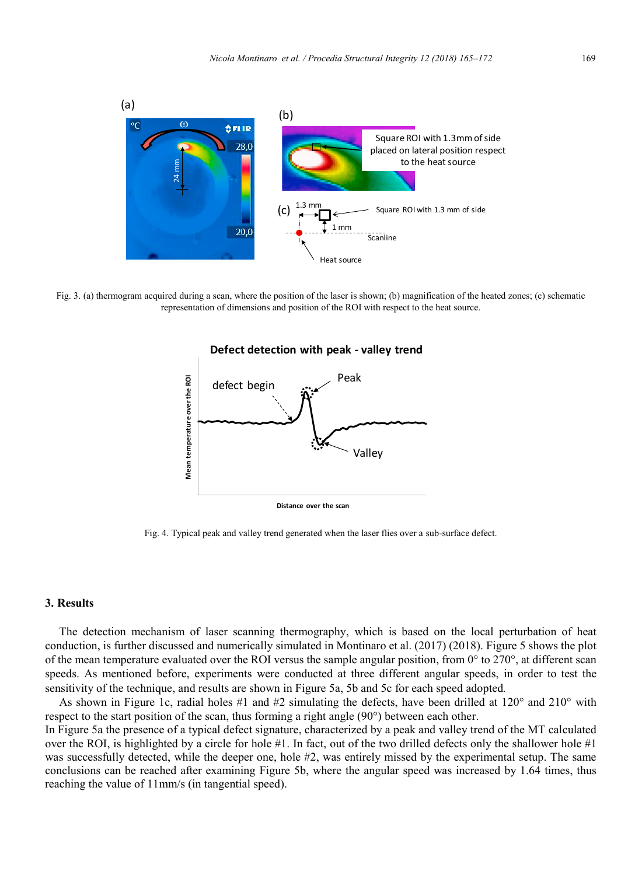

Fig. 3. (a) thermogram acquired during a scan, where the position of the laser is shown; (b) magnification of the heated zones; (c) schematic representation of dimensions and position of the ROI with respect to the heat source.



Fig. 4. Typical peak and valley trend generated when the laser flies over a sub-surface defect.

#### **3. Results**

The detection mechanism of laser scanning thermography, which is based on the local perturbation of heat conduction, is further discussed and numerically simulated in Montinaro et al. (2017) (2018). Figure 5 shows the plot of the mean temperature evaluated over the ROI versus the sample angular position, from  $0^{\circ}$  to  $270^{\circ}$ , at different scan speeds. As mentioned before, experiments were conducted at three different angular speeds, in order to test the sensitivity of the technique, and results are shown in Figure 5a, 5b and 5c for each speed adopted*.*

As shown in Figure 1c, radial holes #1 and #2 simulating the defects, have been drilled at 120° and 210° with respect to the start position of the scan, thus forming a right angle (90°) between each other.

In Figure 5a the presence of a typical defect signature, characterized by a peak and valley trend of the MT calculated over the ROI, is highlighted by a circle for hole  $#1$ . In fact, out of the two drilled defects only the shallower hole  $#1$ was successfully detected, while the deeper one, hole #2, was entirely missed by the experimental setup. The same conclusions can be reached after examining Figure 5b, where the angular speed was increased by 1.64 times, thus reaching the value of 11mm/s (in tangential speed).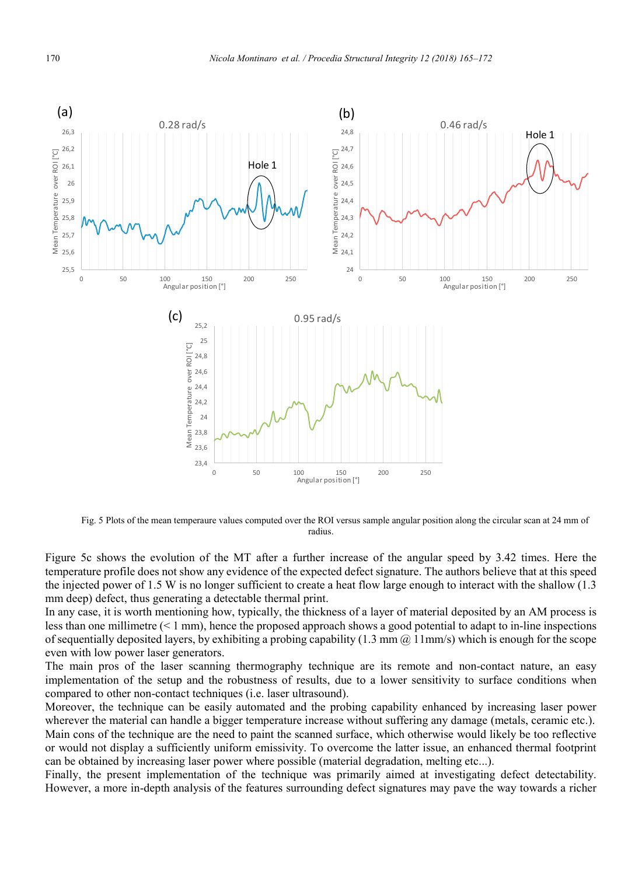

Fig. 5 Plots of the mean temperaure values computed over the ROI versus sample angular position along the circular scan at 24 mm of radius.

Figure 5c shows the evolution of the MT after a further increase of the angular speed by 3.42 times. Here the temperature profile does not show any evidence of the expected defect signature. The authors believe that at this speed the injected power of 1.5 W is no longer sufficient to create a heat flow large enough to interact with the shallow (1.3 mm deep) defect, thus generating a detectable thermal print.

In any case, it is worth mentioning how, typically, the thickness of a layer of material deposited by an AM process is less than one millimetre (< 1 mm), hence the proposed approach shows a good potential to adapt to in-line inspections of sequentially deposited layers, by exhibiting a probing capability  $(1.3 \text{ mm}/a) 11 \text{ mm/s})$  which is enough for the scope even with low power laser generators.

The main pros of the laser scanning thermography technique are its remote and non-contact nature, an easy implementation of the setup and the robustness of results, due to a lower sensitivity to surface conditions when compared to other non-contact techniques (i.e. laser ultrasound).

Moreover, the technique can be easily automated and the probing capability enhanced by increasing laser power wherever the material can handle a bigger temperature increase without suffering any damage (metals, ceramic etc.).

Main cons of the technique are the need to paint the scanned surface, which otherwise would likely be too reflective or would not display a sufficiently uniform emissivity. To overcome the latter issue, an enhanced thermal footprint can be obtained by increasing laser power where possible (material degradation, melting etc...).

Finally, the present implementation of the technique was primarily aimed at investigating defect detectability. However, a more in-depth analysis of the features surrounding defect signatures may pave the way towards a richer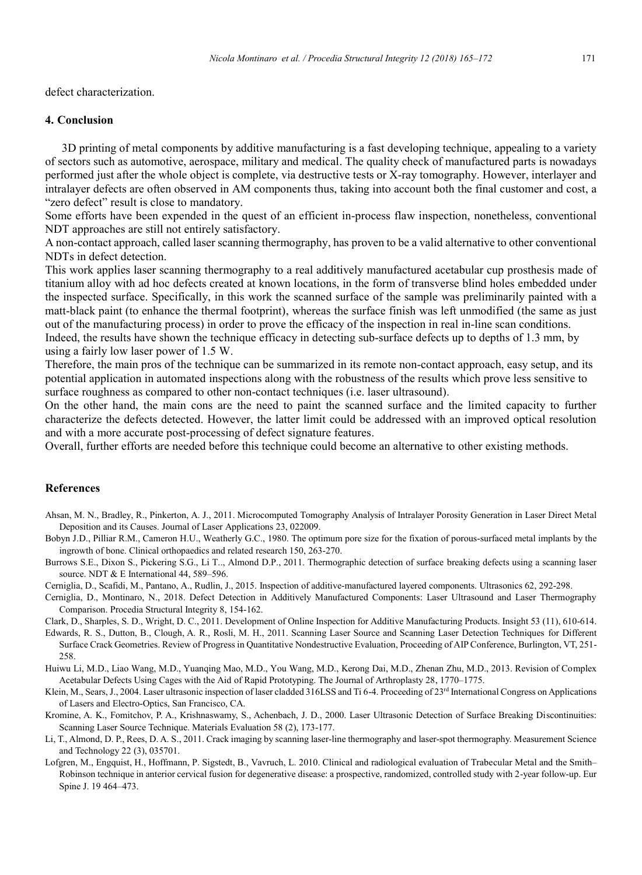defect characterization.

#### **4. Conclusion**

3D printing of metal components by additive manufacturing is a fast developing technique, appealing to a variety of sectors such as automotive, aerospace, military and medical. The quality check of manufactured parts is nowadays performed just after the whole object is complete, via destructive tests or X-ray tomography. However, interlayer and intralayer defects are often observed in AM components thus, taking into account both the final customer and cost, a "zero defect" result is close to mandatory.

Some efforts have been expended in the quest of an efficient in-process flaw inspection, nonetheless, conventional NDT approaches are still not entirely satisfactory.

A non-contact approach, called laser scanning thermography, has proven to be a valid alternative to other conventional NDTs in defect detection.

This work applies laser scanning thermography to a real additively manufactured acetabular cup prosthesis made of titanium alloy with ad hoc defects created at known locations, in the form of transverse blind holes embedded under the inspected surface. Specifically, in this work the scanned surface of the sample was preliminarily painted with a matt-black paint (to enhance the thermal footprint), whereas the surface finish was left unmodified (the same as just out of the manufacturing process) in order to prove the efficacy of the inspection in real in-line scan conditions. Indeed, the results have shown the technique efficacy in detecting sub-surface defects up to depths of 1.3 mm, by using a fairly low laser power of 1.5 W.

Therefore, the main pros of the technique can be summarized in its remote non-contact approach, easy setup, and its potential application in automated inspections along with the robustness of the results which prove less sensitive to surface roughness as compared to other non-contact techniques (i.e. laser ultrasound).

On the other hand, the main cons are the need to paint the scanned surface and the limited capacity to further characterize the defects detected. However, the latter limit could be addressed with an improved optical resolution and with a more accurate post-processing of defect signature features.

Overall, further efforts are needed before this technique could become an alternative to other existing methods.

#### **References**

- Ahsan, M. N., Bradley, R., Pinkerton, A. J., 2011. Microcomputed Tomography Analysis of Intralayer Porosity Generation in Laser Direct Metal Deposition and its Causes. Journal of Laser Applications 23, 022009.
- Bobyn J.D., Pilliar R.M., Cameron H.U., Weatherly G.C., 1980. The optimum pore size for the fixation of porous-surfaced metal implants by the ingrowth of bone. Clinical orthopaedics and related research 150, 263-270.
- Burrows S.E., Dixon S., Pickering S.G., Li T.., Almond D.P., 2011. Thermographic detection of surface breaking defects using a scanning laser source. NDT & E International 44, 589-596.
- Cerniglia, D., Scafidi, M., Pantano, A., Rudlin, J., 2015. Inspection of additive-manufactured layered components. Ultrasonics 62, 292-298.
- Cerniglia, D., Montinaro, N., 2018. Defect Detection in Additively Manufactured Components: Laser Ultrasound and Laser Thermography Comparison. Procedia Structural Integrity 8, 154-162.

Clark, D., Sharples, S. D., Wright, D. C., 2011. Development of Online Inspection for Additive Manufacturing Products. Insight 53 (11), 610-614.

- Edwards, R. S., Dutton, B., Clough, A. R., Rosli, M. H., 2011. Scanning Laser Source and Scanning Laser Detection Techniques for Different Surface Crack Geometries. Review of Progress in Quantitative Nondestructive Evaluation, Proceeding of AIP Conference, Burlington, VT, 251- 258.
- Huiwu Li, M.D., Liao Wang, M.D., Yuanqing Mao, M.D., You Wang, M.D., Kerong Dai, M.D., Zhenan Zhu, M.D., 2013. Revision of Complex Acetabular Defects Using Cages with the Aid of Rapid Prototyping. The Journal of Arthroplasty 28, 1770–1775.
- Klein, M., Sears, J., 2004. Laser ultrasonic inspection of laser cladded 316LSS and Ti 6-4. Proceeding of  $23<sup>rd</sup>$  International Congress on Applications of Lasers and Electro-Optics, San Francisco, CA.
- Kromine, A. K., Fomitchov, P. A., Krishnaswamy, S., Achenbach, J. D., 2000. Laser Ultrasonic Detection of Surface Breaking Discontinuities: Scanning Laser Source Technique. Materials Evaluation 58 (2), 173-177.
- Li, T., Almond, D. P., Rees, D. A. S., 2011. Crack imaging by scanning laser-line thermography and laser-spot thermography. Measurement Science and Technology 22 (3), 035701.
- Lofgren, M., Engquist, H., Hoffmann, P. Sigstedt, B., Vavruch, L. 2010. Clinical and radiological evaluation of Trabecular Metal and the Smith– Robinson technique in anterior cervical fusion for degenerative disease: a prospective, randomized, controlled study with 2-year follow-up. Eur Spine J. 19 464–473.